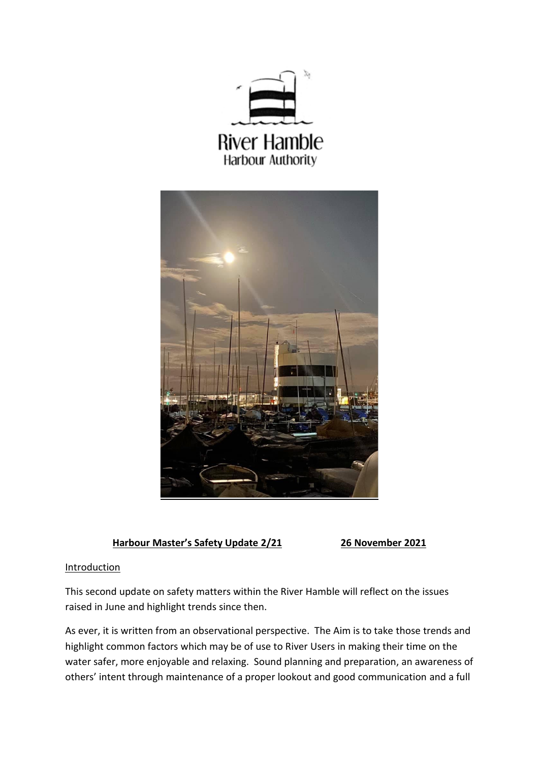



# **Harbour Master's Safety Update 2/21 26 November 2021**

# **Introduction**

This second update on safety matters within the River Hamble will reflect on the issues raised in June and highlight trends since then.

As ever, it is written from an observational perspective. The Aim is to take those trends and highlight common factors which may be of use to River Users in making their time on the water safer, more enjoyable and relaxing. Sound planning and preparation, an awareness of others' intent through maintenance of a proper lookout and good communication and a full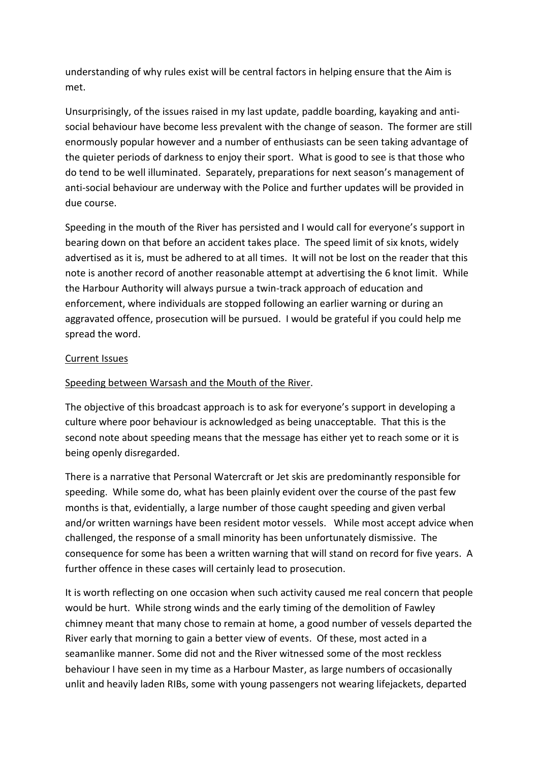understanding of why rules exist will be central factors in helping ensure that the Aim is met.

Unsurprisingly, of the issues raised in my last update, paddle boarding, kayaking and antisocial behaviour have become less prevalent with the change of season. The former are still enormously popular however and a number of enthusiasts can be seen taking advantage of the quieter periods of darkness to enjoy their sport. What is good to see is that those who do tend to be well illuminated. Separately, preparations for next season's management of anti-social behaviour are underway with the Police and further updates will be provided in due course.

Speeding in the mouth of the River has persisted and I would call for everyone's support in bearing down on that before an accident takes place. The speed limit of six knots, widely advertised as it is, must be adhered to at all times. It will not be lost on the reader that this note is another record of another reasonable attempt at advertising the 6 knot limit. While the Harbour Authority will always pursue a twin-track approach of education and enforcement, where individuals are stopped following an earlier warning or during an aggravated offence, prosecution will be pursued. I would be grateful if you could help me spread the word.

## Current Issues

### Speeding between Warsash and the Mouth of the River.

The objective of this broadcast approach is to ask for everyone's support in developing a culture where poor behaviour is acknowledged as being unacceptable. That this is the second note about speeding means that the message has either yet to reach some or it is being openly disregarded.

There is a narrative that Personal Watercraft or Jet skis are predominantly responsible for speeding. While some do, what has been plainly evident over the course of the past few months is that, evidentially, a large number of those caught speeding and given verbal and/or written warnings have been resident motor vessels. While most accept advice when challenged, the response of a small minority has been unfortunately dismissive. The consequence for some has been a written warning that will stand on record for five years. A further offence in these cases will certainly lead to prosecution.

It is worth reflecting on one occasion when such activity caused me real concern that people would be hurt. While strong winds and the early timing of the demolition of Fawley chimney meant that many chose to remain at home, a good number of vessels departed the River early that morning to gain a better view of events. Of these, most acted in a seamanlike manner. Some did not and the River witnessed some of the most reckless behaviour I have seen in my time as a Harbour Master, as large numbers of occasionally unlit and heavily laden RIBs, some with young passengers not wearing lifejackets, departed